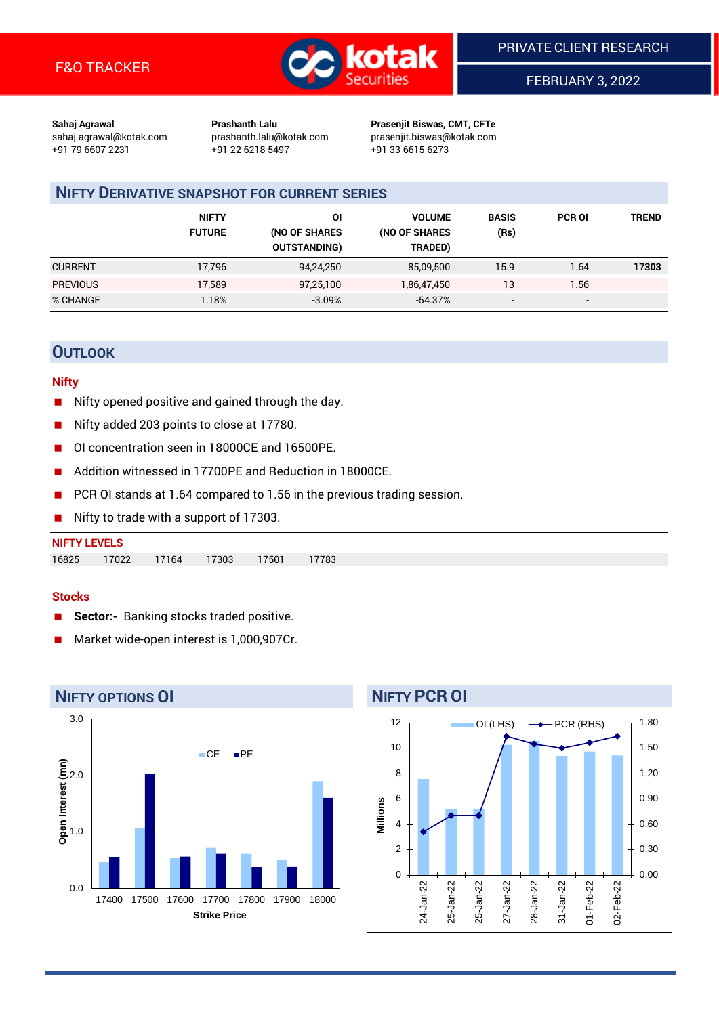

FEBRUARY 3, 2022

**Sahaj Agrawal Prashanth Lalu Prasenjit Biswas, CMT, CFTe** +91 79 6607 2231 +91 22 6218 5497 +91 33 6615 6273

sahaj.agrawal@kotak.com [prashanth.lalu@kotak.com](mailto:prashanth.lalu@kotak.com) prasenjit.biswas@kotak.com

## **NIFTY DERIVATIVE SNAPSHOT FOR CURRENT SERIES**

|                 | <b>NIFTY</b><br><b>FUTURE</b> | ΟI<br>(NO OF SHARES<br><b>OUTSTANDING)</b> | <b>VOLUME</b><br>(NO OF SHARES<br>TRADED) | <b>BASIS</b><br>(Rs)     | <b>PCR OI</b>            | TREND |
|-----------------|-------------------------------|--------------------------------------------|-------------------------------------------|--------------------------|--------------------------|-------|
| <b>CURRENT</b>  | 17,796                        | 94,24,250                                  | 85,09,500                                 | 15.9                     | 1.64                     | 17303 |
| <b>PREVIOUS</b> | 17.589                        | 97,25,100                                  | 1,86,47,450                               | 13                       | 1.56                     |       |
| % CHANGE        | .18%                          | $-3.09\%$                                  | $-54.37%$                                 | $\overline{\phantom{a}}$ | $\overline{\phantom{0}}$ |       |

## **OUTLOOK**

### **Nifty**

- Nifty opened positive and gained through the day.
- Nifty added 203 points to close at 17780.
- OI concentration seen in 18000CE and 16500PE.
- Addition witnessed in 17700PE and Reduction in 18000CE.
- PCR OI stands at 1.64 compared to 1.56 in the previous trading session.
- Nifty to trade with a support of 17303.

### **Stocks**

- **Sector:-** Banking stocks traded positive.
- Market wide-open interest is 1,000,907Cr.



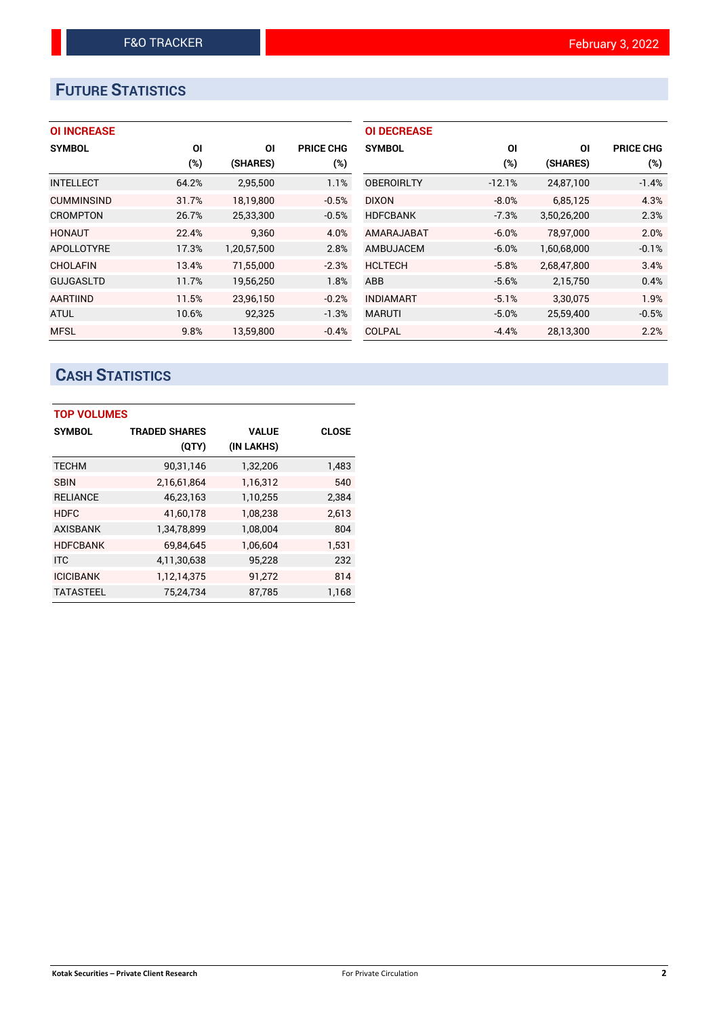# **FUTURE STATISTICS**

| <b>OI INCREASE</b> |       |             |                  | <b>OI DECREASE</b> |          |             |                  |
|--------------------|-------|-------------|------------------|--------------------|----------|-------------|------------------|
| <b>SYMBOL</b>      | ΟI    | ΟI          | <b>PRICE CHG</b> | <b>SYMBOL</b>      | ΟI       | ΟI          | <b>PRICE CHG</b> |
|                    | (%)   | (SHARES)    | (%)              |                    | (%)      | (SHARES)    | (%)              |
| <b>INTELLECT</b>   | 64.2% | 2,95,500    | 1.1%             | <b>OBEROIRLTY</b>  | $-12.1%$ | 24,87,100   | $-1.4%$          |
| <b>CUMMINSIND</b>  | 31.7% | 18.19.800   | $-0.5%$          | <b>DIXON</b>       | $-8.0%$  | 6,85,125    | 4.3%             |
| <b>CROMPTON</b>    | 26.7% | 25,33,300   | $-0.5%$          | <b>HDFCBANK</b>    | $-7.3%$  | 3,50,26,200 | 2.3%             |
| <b>HONAUT</b>      | 22.4% | 9.360       | 4.0%             | AMARAJABAT         | $-6.0%$  | 78.97.000   | 2.0%             |
| <b>APOLLOTYRE</b>  | 17.3% | 1,20,57,500 | 2.8%             | <b>AMBUJACEM</b>   | $-6.0%$  | 1,60,68,000 | $-0.1%$          |
| CHOLAFIN           | 13.4% | 71,55,000   | $-2.3%$          | <b>HCLTECH</b>     | $-5.8%$  | 2,68,47,800 | 3.4%             |
| <b>GUJGASLTD</b>   | 11.7% | 19,56,250   | 1.8%             | <b>ABB</b>         | $-5.6%$  | 2,15,750    | 0.4%             |
| AARTIIND           | 11.5% | 23,96,150   | $-0.2%$          | <b>INDIAMART</b>   | $-5.1%$  | 3,30,075    | 1.9%             |
| <b>ATUL</b>        | 10.6% | 92,325      | $-1.3%$          | <b>MARUTI</b>      | $-5.0%$  | 25,59,400   | $-0.5%$          |
| <b>MFSL</b>        | 9.8%  | 13,59,800   | $-0.4%$          | <b>COLPAL</b>      | $-4.4%$  | 28,13,300   | 2.2%             |

# **CASH STATISTICS**

| <b>TOP VOLUMES</b> |                      |              |              |  |  |  |  |  |
|--------------------|----------------------|--------------|--------------|--|--|--|--|--|
| <b>SYMBOL</b>      | <b>TRADED SHARES</b> | <b>VALUE</b> | <b>CLOSE</b> |  |  |  |  |  |
|                    | (QTY)                | (IN LAKHS)   |              |  |  |  |  |  |
| <b>TECHM</b>       | 90,31,146            | 1,32,206     | 1,483        |  |  |  |  |  |
| <b>SBIN</b>        | 2,16,61,864          | 1,16,312     | 540          |  |  |  |  |  |
| <b>RELIANCE</b>    | 46,23,163            | 1,10,255     | 2,384        |  |  |  |  |  |
| <b>HDFC</b>        | 41,60,178            | 1,08,238     | 2,613        |  |  |  |  |  |
| <b>AXISBANK</b>    | 1,34,78,899          | 1,08,004     | 804          |  |  |  |  |  |
| <b>HDFCBANK</b>    | 69,84,645            | 1,06,604     | 1,531        |  |  |  |  |  |
| <b>ITC</b>         | 4,11,30,638          | 95,228       | 232          |  |  |  |  |  |
| <b>ICICIBANK</b>   | 1,12,14,375          | 91,272       | 814          |  |  |  |  |  |
| <b>TATASTEEL</b>   | 75.24.734            | 87,785       | 1,168        |  |  |  |  |  |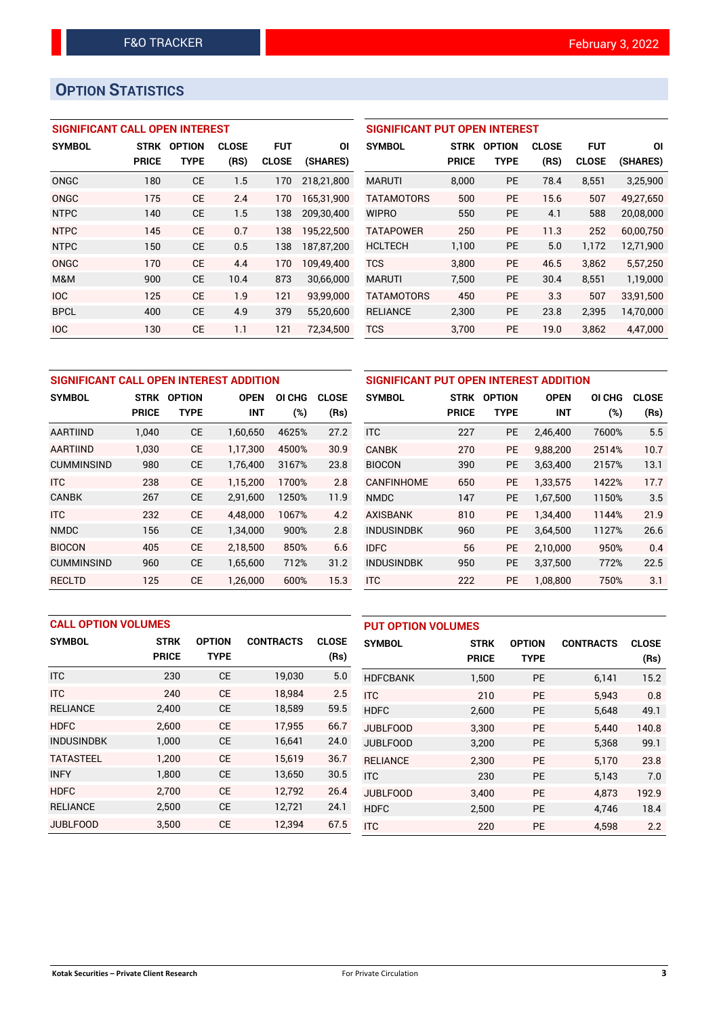# **OPTION STATISTICS**

## **SIGNIFICANT CALL OPEN INTEREST**

| <b>SYMBOL</b> | <b>STRK</b><br><b>PRICE</b> | <b>OPTION</b><br>TYPE | <b>CLOSE</b><br>(RS) | <b>FUT</b><br><b>CLOSE</b> | ΟI<br>(SHARES) |
|---------------|-----------------------------|-----------------------|----------------------|----------------------------|----------------|
|               |                             |                       |                      |                            |                |
| ONGC          | 180                         | CE                    | 1.5                  | 170                        | 218,21,800     |
| ONGC          | 175                         | CE                    | 2.4                  | 170                        | 165,31,900     |
| <b>NTPC</b>   | 140                         | CE                    | 1.5                  | 138                        | 209.30.400     |
| <b>NTPC</b>   | 145                         | <b>CE</b>             | 0.7                  | 138                        | 195,22,500     |
| <b>NTPC</b>   | 150                         | CE                    | 0.5                  | 138                        | 187,87,200     |
| ONGC          | 170                         | CE                    | 4.4                  | 170                        | 109.49.400     |
| M&M           | 900                         | CE                    | 10.4                 | 873                        | 30,66,000      |
| <b>IOC</b>    | 125                         | <b>CE</b>             | 1.9                  | 121                        | 93,99,000      |
| <b>BPCL</b>   | 400                         | CE                    | 4.9                  | 379                        | 55,20,600      |
| <b>IOC</b>    | 130                         | CE                    | 1.1                  | 121                        | 72,34,500      |

## **SIGNIFICANT PUT OPEN INTEREST SYMBOL STRK OPTION CLOSE FUT OI PRICE TYPE (RS) CLOSE (SHARES)** MARUTI 8,000 PE 78.4 8,551 3,25,900 TATAMOTORS 500 PE 15.6 507 49,27,650 WIPRO 550 PE 4.1 588 20,08,000 TATAPOWER 250 PE 11.3 252 60,00,750 HCLTECH 1,100 PE 5.0 1,172 12,71,900 TCS 3,800 PE 46.5 3,862 5,57,250 MARUTI 7,500 PE 30.4 8,551 1,19,000 TATAMOTORS 450 PE 3.3 507 33,91,500 RELIANCE 2,300 PE 23.8 2,395 14,70,000 TCS 3,700 PE 19.0 3,862 4,47,000

| SIGNIFICANT CALL OPEN INTEREST ADDITION |              |               |             |        |              |  |  |  |
|-----------------------------------------|--------------|---------------|-------------|--------|--------------|--|--|--|
| <b>SYMBOL</b>                           | <b>STRK</b>  | <b>OPTION</b> | <b>OPEN</b> | OI CHG | <b>CLOSE</b> |  |  |  |
|                                         | <b>PRICE</b> | <b>TYPE</b>   | INT         | (%)    | (Rs)         |  |  |  |
| <b>AARTIIND</b>                         | 1,040        | CЕ            | 1,60,650    | 4625%  | 27.2         |  |  |  |
| <b>AARTIIND</b>                         | 1.030        | СE            | 1,17,300    | 4500%  | 30.9         |  |  |  |
| <b>CUMMINSIND</b>                       | 980          | <b>CE</b>     | 1,76,400    | 3167%  | 23.8         |  |  |  |
| <b>ITC</b>                              | 238          | <b>CE</b>     | 1.15.200    | 1700%  | 2.8          |  |  |  |
| <b>CANBK</b>                            | 267          | CЕ            | 2,91,600    | 1250%  | 11.9         |  |  |  |
| <b>ITC</b>                              | 232          | <b>CE</b>     | 4,48,000    | 1067%  | 4.2          |  |  |  |
| <b>NMDC</b>                             | 156          | CЕ            | 1,34,000    | 900%   | 2.8          |  |  |  |
| <b>BIOCON</b>                           | 405          | <b>CE</b>     | 2,18,500    | 850%   | 6.6          |  |  |  |
| <b>CUMMINSIND</b>                       | 960          | СE            | 1,65,600    | 712%   | 31.2         |  |  |  |
| RECLTD                                  | 125          | CЕ            | 1,26,000    | 600%   | 15.3         |  |  |  |

| SIGNIFICANT PUT OPEN INTEREST ADDITION |              |               |             |        |              |  |  |  |  |
|----------------------------------------|--------------|---------------|-------------|--------|--------------|--|--|--|--|
| <b>SYMBOL</b>                          | <b>STRK</b>  | <b>OPTION</b> | <b>OPEN</b> | OI CHG | <b>CLOSE</b> |  |  |  |  |
|                                        | <b>PRICE</b> | <b>TYPE</b>   | <b>INT</b>  | (%)    | (Rs)         |  |  |  |  |
| <b>ITC</b>                             | 227          | <b>PE</b>     | 2,46,400    | 7600%  | 5.5          |  |  |  |  |
| <b>CANBK</b>                           | 270          | <b>PE</b>     | 9,88,200    | 2514%  | 10.7         |  |  |  |  |
| <b>BIOCON</b>                          | 390          | <b>PE</b>     | 3,63,400    | 2157%  | 13.1         |  |  |  |  |
| <b>CANFINHOME</b>                      | 650          | <b>PE</b>     | 1,33,575    | 1422%  | 17.7         |  |  |  |  |
| <b>NMDC</b>                            | 147          | <b>PE</b>     | 1,67,500    | 1150%  | 3.5          |  |  |  |  |
| <b>AXISBANK</b>                        | 810          | <b>PE</b>     | 1,34,400    | 1144%  | 21.9         |  |  |  |  |
| <b>INDUSINDBK</b>                      | 960          | PE            | 3,64,500    | 1127%  | 26.6         |  |  |  |  |
| <b>IDFC</b>                            | 56           | <b>PE</b>     | 2,10,000    | 950%   | 0.4          |  |  |  |  |
| <b>INDUSINDBK</b>                      | 950          | <b>PE</b>     | 3,37,500    | 772%   | 22.5         |  |  |  |  |
| <b>ITC</b>                             | 222          | <b>PE</b>     | 1,08,800    | 750%   | 3.1          |  |  |  |  |

| <b>CALL OPTION VOLUMES</b> |              |               |                  |              | <b>PUT OPTION VOLUMES</b> |              |               |                  |              |
|----------------------------|--------------|---------------|------------------|--------------|---------------------------|--------------|---------------|------------------|--------------|
| <b>SYMBOL</b>              | <b>STRK</b>  | <b>OPTION</b> | <b>CONTRACTS</b> | <b>CLOSE</b> | <b>SYMBOL</b>             | <b>STRK</b>  | <b>OPTION</b> | <b>CONTRACTS</b> | <b>CLOSE</b> |
|                            | <b>PRICE</b> | <b>TYPE</b>   |                  | (Rs)         |                           | <b>PRICE</b> | <b>TYPE</b>   |                  | (Rs)         |
| <b>ITC</b>                 | 230          | <b>CE</b>     | 19,030           | 5.0          | <b>HDFCBANK</b>           | 1,500        | <b>PE</b>     | 6,141            | 15.2         |
| <b>ITC</b>                 | 240          | <b>CE</b>     | 18.984           | 2.5          | <b>ITC</b>                | 210          | <b>PE</b>     | 5.943            | 0.8          |
| <b>RELIANCE</b>            | 2,400        | <b>CE</b>     | 18,589           | 59.5         | <b>HDFC</b>               | 2,600        | <b>PE</b>     | 5,648            | 49.1         |
| <b>HDFC</b>                | 2.600        | <b>CE</b>     | 17,955           | 66.7         | <b>JUBLFOOD</b>           | 3.300        | <b>PE</b>     | 5.440            | 140.8        |
| <b>INDUSINDBK</b>          | 1,000        | <b>CE</b>     | 16,641           | 24.0         | <b>JUBLFOOD</b>           | 3.200        | <b>PE</b>     | 5.368            | 99.1         |
| <b>TATASTEEL</b>           | 1.200        | <b>CE</b>     | 15.619           | 36.7         | <b>RELIANCE</b>           | 2,300        | <b>PE</b>     | 5.170            | 23.8         |
| <b>INFY</b>                | 1,800        | <b>CE</b>     | 13,650           | 30.5         | <b>ITC</b>                | 230          | <b>PE</b>     | 5,143            | 7.0          |
| <b>HDFC</b>                | 2.700        | <b>CE</b>     | 12.792           | 26.4         | <b>JUBLFOOD</b>           | 3.400        | <b>PE</b>     | 4.873            | 192.9        |
| <b>RELIANCE</b>            | 2,500        | <b>CE</b>     | 12,721           | 24.1         | <b>HDFC</b>               | 2,500        | <b>PE</b>     | 4.746            | 18.4         |
| JUBLFOOD                   | 3,500        | <b>CE</b>     | 12,394           | 67.5         | <b>ITC</b>                | 220          | <b>PE</b>     | 4,598            | 2.2          |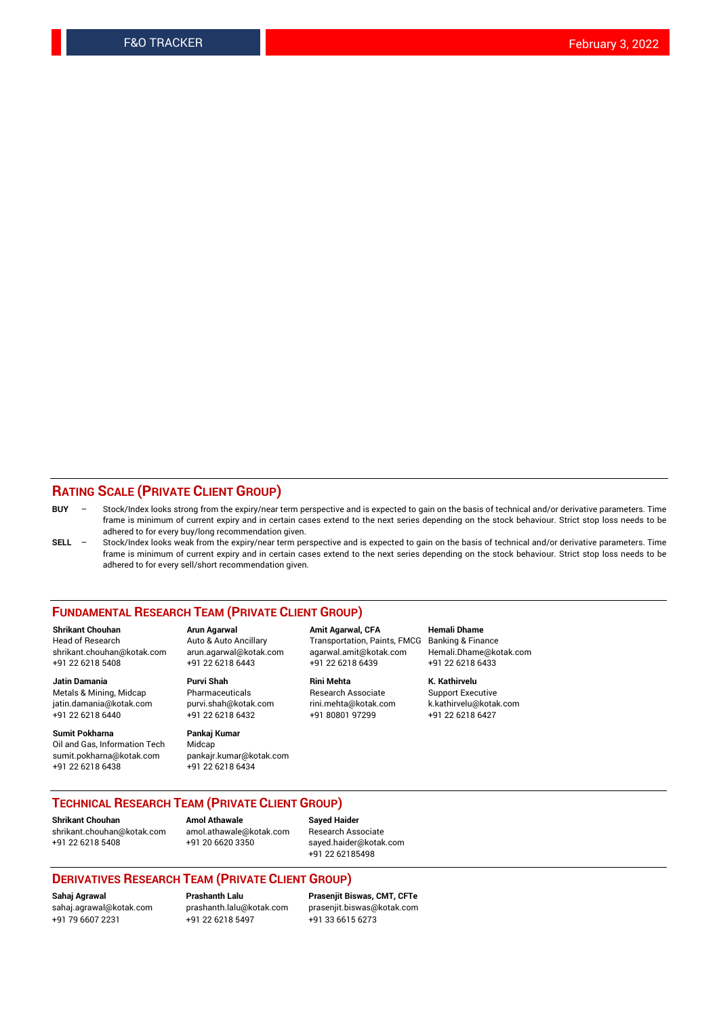## **RATING SCALE (PRIVATE CLIENT GROUP)**

- **BUY**  Stock/Index looks strong from the expiry/near term perspective and is expected to gain on the basis of technical and/or derivative parameters. Time frame is minimum of current expiry and in certain cases extend to the next series depending on the stock behaviour. Strict stop loss needs to be adhered to for every buy/long recommendation given.
- **SELL** Stock/Index looks weak from the expiry/near term perspective and is expected to gain on the basis of technical and/or derivative parameters. Time frame is minimum of current expiry and in certain cases extend to the next series depending on the stock behaviour. Strict stop loss needs to be adhered to for every sell/short recommendation given.

#### **FUNDAMENTAL RESEARCH TEAM (PRIVATE CLIENT GROUP)**

**Shrikant Chouhan Arun Agarwal Amit Agarwal, CFA Hemali Dhame** shrikant.chouhan@kotak.com arun.agarwal@kotak.com agarwal.amit@kotak.com Hemali.Dhame@kotak.com +91 22 6218 5408 +91 22 6218 6443 +91 22 6218 6439 +91 22 6218 6433

Metals & Mining, Midcap Pharmaceuticals Pharmaceuticals Research Associate Support Executive<br>
iatin.damania@kotak.com purvi.shah@kotak.com rini.mehta@kotak.com k.kathirvelu@kotak.com jatin.damania@kotak.com +91 22 6218 6440 +91 22 6218 6432 +91 80801 97299 +91 22 6218 6427

**Sumit Pokharna Pankaj Kumar**<br>Oil and Gas, Information Tech Midcap Oil and Gas, Information Tech sumit.pokharna@kotak.com pankajr.kumar@kotak.com +91 22 6218 6438 +91 22 6218 6434

**Jatin Damania Purvi Shah Rini Mehta K. Kathirvelu**

Transportation, Paints, FMCG

# **TECHNICAL RESEARCH TEAM (PRIVATE CLIENT GROUP)**

[shrikant.chouhan@kotak.com](mailto:shrikant.chouhan@kotak.com) [amol.athawale@kotak.com](mailto:amol.athawale@kotak.com) Research Associate +91 22 6218 5408 +91 20 6620 3350 [sayed.haider@kotak.com](mailto:sayed.haider@kotak.com)

**Shrikant Chouhan Amol Athawale Sayed Haider**

+91 22 62185498

#### **DERIVATIVES RESEARCH TEAM (PRIVATE CLIENT GROUP)**

+91 79 6607 2231 +91 22 6218 5497 +91 33 6615 6273

**Sahaj Agrawal Prashanth Lalu Prasenjit Biswas, CMT, CFTe** [prasenjit.biswas@kotak.com](mailto:prasenjit.biswas@kotak.com)